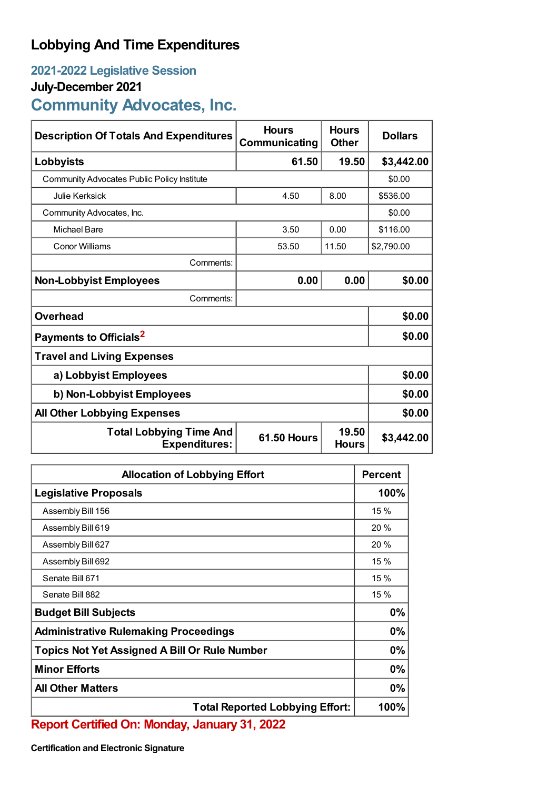## **Lobbying And Time Expenditures**

## **2021-2022 Legislative Session**

## **July-December 2021**

## **Community Advocates, Inc.**

| <b>Description Of Totals And Expenditures</b>          | <b>Hours</b><br>Communicating | <b>Hours</b><br><b>Other</b> | <b>Dollars</b> |
|--------------------------------------------------------|-------------------------------|------------------------------|----------------|
| Lobbyists                                              | 61.50                         | 19.50                        | \$3,442.00     |
| Community Advocates Public Policy Institute            |                               |                              | \$0.00         |
| <b>Julie Kerksick</b>                                  | 4.50                          | 8.00                         | \$536.00       |
| Community Advocates, Inc.                              |                               |                              | \$0.00         |
| <b>Michael Bare</b>                                    | 3.50                          | 0.00                         | \$116.00       |
| Conor Williams                                         | 53.50                         | 11.50                        | \$2,790.00     |
| Comments:                                              |                               |                              |                |
| <b>Non-Lobbyist Employees</b>                          | 0.00                          | 0.00                         | \$0.00         |
| Comments:                                              |                               |                              |                |
| Overhead                                               |                               |                              | \$0.00         |
| Payments to Officials <sup>2</sup>                     |                               |                              | \$0.00         |
| <b>Travel and Living Expenses</b>                      |                               |                              |                |
| a) Lobbyist Employees                                  |                               |                              | \$0.00         |
| b) Non-Lobbyist Employees                              |                               |                              | \$0.00         |
| <b>All Other Lobbying Expenses</b>                     |                               |                              | \$0.00         |
| <b>Total Lobbying Time And</b><br><b>Expenditures:</b> | <b>61.50 Hours</b>            | 19.50<br><b>Hours</b>        | \$3,442.00     |

| <b>Allocation of Lobbying Effort</b>                 |      |
|------------------------------------------------------|------|
| <b>Legislative Proposals</b>                         | 100% |
| Assembly Bill 156                                    | 15 % |
| Assembly Bill 619                                    | 20 % |
| Assembly Bill 627                                    | 20 % |
| Assembly Bill 692                                    | 15 % |
| Senate Bill 671                                      | 15 % |
| Senate Bill 882                                      | 15 % |
| <b>Budget Bill Subjects</b>                          |      |
| <b>Administrative Rulemaking Proceedings</b>         |      |
| <b>Topics Not Yet Assigned A Bill Or Rule Number</b> |      |
| <b>Minor Efforts</b>                                 |      |
| <b>All Other Matters</b>                             |      |
| <b>Total Reported Lobbying Effort:</b>               | 100% |

**Report Certified On: Monday, January 31, 2022**